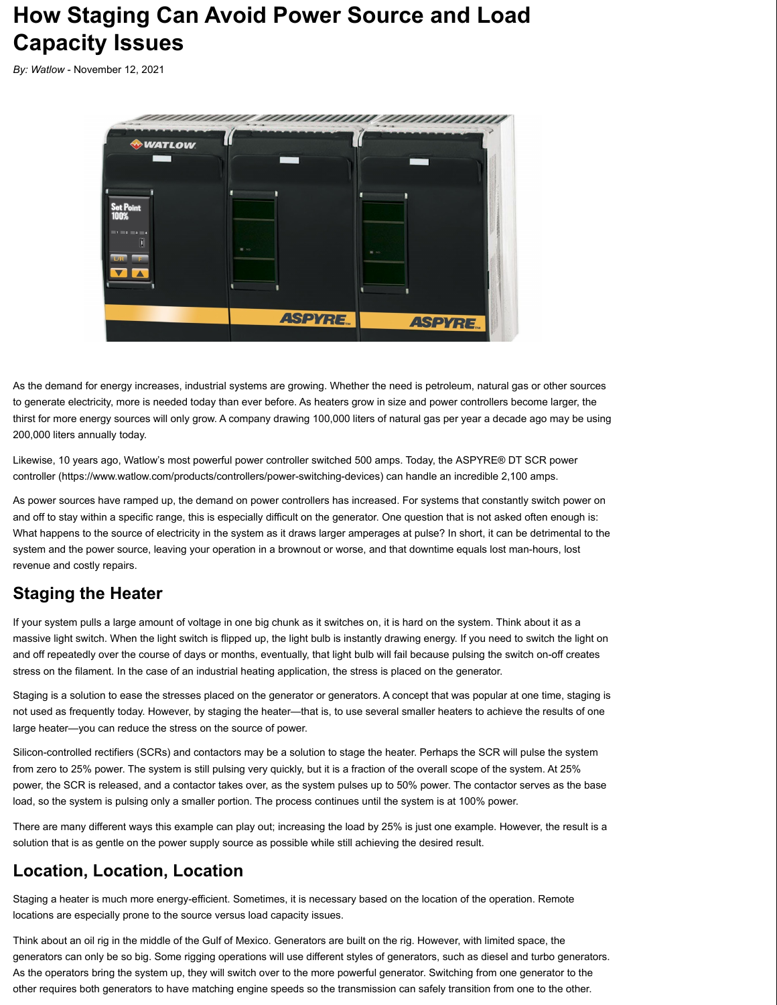# **How Staging Can Avoid Power Source and Load Capacity Issues**

*By: Watlow* - November 12, 2021



As the demand for energy increases, industrial systems are growing. Whether the need is petroleum, natural gas or other sources to generate electricity, more is needed today than ever before. As heaters grow in size and power controllers become larger, the thirst for more energy sources will only grow. A company drawing 100,000 liters of natural gas per year a decade ago may be using 200,000 liters annually today.

Likewise, 10 years ago, Watlow's most powerful power controller switched 500 amps. Today, the ASPYRE® DT SCR power controller (https://www.watlow.com/products/controllers/power-switching-devices) can handle an incredible 2,100 amps.

As power sources have ramped up, the demand on power controllers has increased. For systems that constantly switch power on and off to stay within a specific range, this is especially difficult on the generator. One question that is not asked often enough is: What happens to the source of electricity in the system as it draws larger amperages at pulse? In short, it can be detrimental to the system and the power source, leaving your operation in a brownout or worse, and that downtime equals lost man-hours, lost revenue and costly repairs.

#### **Staging the Heater**

If your system pulls a large amount of voltage in one big chunk as it switches on, it is hard on the system. Think about it as a massive light switch. When the light switch is flipped up, the light bulb is instantly drawing energy. If you need to switch the light on and off repeatedly over the course of days or months, eventually, that light bulb will fail because pulsing the switch on-off creates stress on the filament. In the case of an industrial heating application, the stress is placed on the generator.

Staging is a solution to ease the stresses placed on the generator or generators. A concept that was popular at one time, staging is not used as frequently today. However, by staging the heater—that is, to use several smaller heaters to achieve the results of one large heater—you can reduce the stress on the source of power.

Silicon-controlled rectifiers (SCRs) and contactors may be a solution to stage the heater. Perhaps the SCR will pulse the system from zero to 25% power. The system is still pulsing very quickly, but it is a fraction of the overall scope of the system. At 25% power, the SCR is released, and a contactor takes over, as the system pulses up to 50% power. The contactor serves as the base load, so the system is pulsing only a smaller portion. The process continues until the system is at 100% power.

There are many different ways this example can play out; increasing the load by 25% is just one example. However, the result is a solution that is as gentle on the power supply source as possible while still achieving the desired result.

#### **Location, Location, Location**

Staging a heater is much more energy-efficient. Sometimes, it is necessary based on the location of the operation. Remote locations are especially prone to the source versus load capacity issues.

Think about an oil rig in the middle of the Gulf of Mexico. Generators are built on the rig. However, with limited space, the generators can only be so big. Some rigging operations will use different styles of generators, such as diesel and turbo generators. As the operators bring the system up, they will switch over to the more powerful generator. Switching from one generator to the other requires both generators to have matching engine speeds so the transmission can safely transition from one to the other.